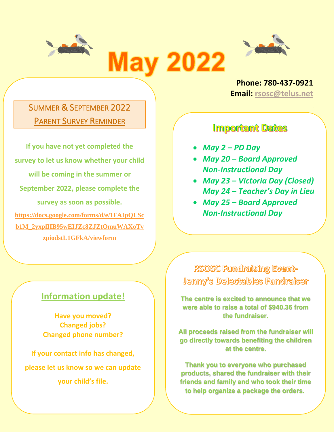



**Phone: 780-437-0921 Email: [rsosc@telus.net](mailto:rsosc@telus.net)**

 $\overline{\phantom{0}}$ 

 $\overline{a}$ 

## SUMMER & SEPTEMBER 2022 PARENT SURVEY REMINDER

**If you have not yet completed the survey to let us know whether your child will be coming in the summer or September 2022, please complete the survey as soon as possible. [https://docs.google.com/forms/d/e/1FAIpQLSc](https://docs.google.com/forms/d/e/1FAIpQLScb1M_2yxplIIB95wEIJZc8ZJZtOmuWAXoTvzpiodstL1GFkA/viewform) [b1M\\_2yxplIIB95wEIJZc8ZJZtOmuWAXoTv](https://docs.google.com/forms/d/e/1FAIpQLScb1M_2yxplIIB95wEIJZc8ZJZtOmuWAXoTvzpiodstL1GFkA/viewform) [zpiodstL1GFkA/viewform](https://docs.google.com/forms/d/e/1FAIpQLScb1M_2yxplIIB95wEIJZc8ZJZtOmuWAXoTvzpiodstL1GFkA/viewform)**

### **Information update!**

 $\overline{\phantom{0}}$ 

**Have you moved? Changed jobs? Changed phone number?**

**If your contact info has changed, please let us know so we can update your child's file.**

### **Important Dates**

- *May 2 – PD Day*
- *May 20 – Board Approved Non-Instructional Day*
- • *May 23 – Victoria Day (Closed) May 24 – Teacher's Day in Lieu*
- *May 25 – Board Approved Non-Instructional Day*

RSOSC Fundraising Event-Jenny's Delectables Fundraiser

**The centre is excited to announce that we were able to raise a total of \$940.36 from the fundraiser.**

 **All proceeds raised from the fundraiser will go directly towards benefiting the children at the centre.** 

**Thank you to everyone who purchased products, shared the fundraiser with their friends and family and who took their time to help organize a package the orders**.